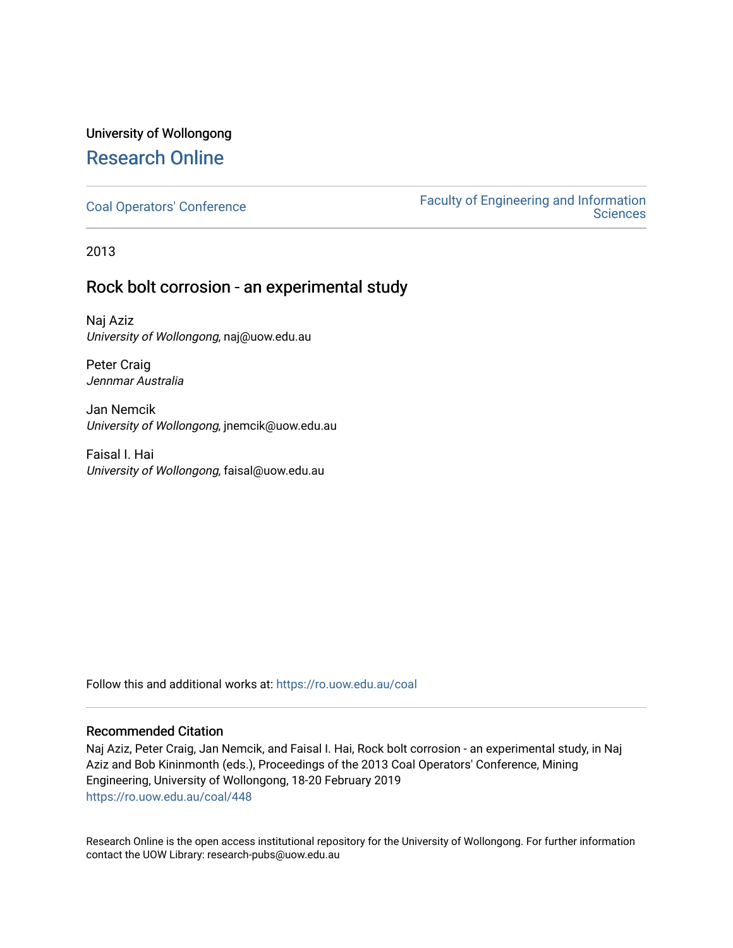### University of Wollongong [Research Online](https://ro.uow.edu.au/)

[Coal Operators' Conference](https://ro.uow.edu.au/coal) [Faculty of Engineering and Information](https://ro.uow.edu.au/eis)  **Sciences** 

2013

### Rock bolt corrosion - an experimental study

Naj Aziz University of Wollongong, naj@uow.edu.au

Peter Craig Jennmar Australia

Jan Nemcik University of Wollongong, jnemcik@uow.edu.au

Faisal I. Hai University of Wollongong, faisal@uow.edu.au

Follow this and additional works at: [https://ro.uow.edu.au/coal](https://ro.uow.edu.au/coal?utm_source=ro.uow.edu.au%2Fcoal%2F448&utm_medium=PDF&utm_campaign=PDFCoverPages) 

#### Recommended Citation

Naj Aziz, Peter Craig, Jan Nemcik, and Faisal I. Hai, Rock bolt corrosion - an experimental study, in Naj Aziz and Bob Kininmonth (eds.), Proceedings of the 2013 Coal Operators' Conference, Mining Engineering, University of Wollongong, 18-20 February 2019 [https://ro.uow.edu.au/coal/448](https://ro.uow.edu.au/coal/448?utm_source=ro.uow.edu.au%2Fcoal%2F448&utm_medium=PDF&utm_campaign=PDFCoverPages) 

Research Online is the open access institutional repository for the University of Wollongong. For further information contact the UOW Library: research-pubs@uow.edu.au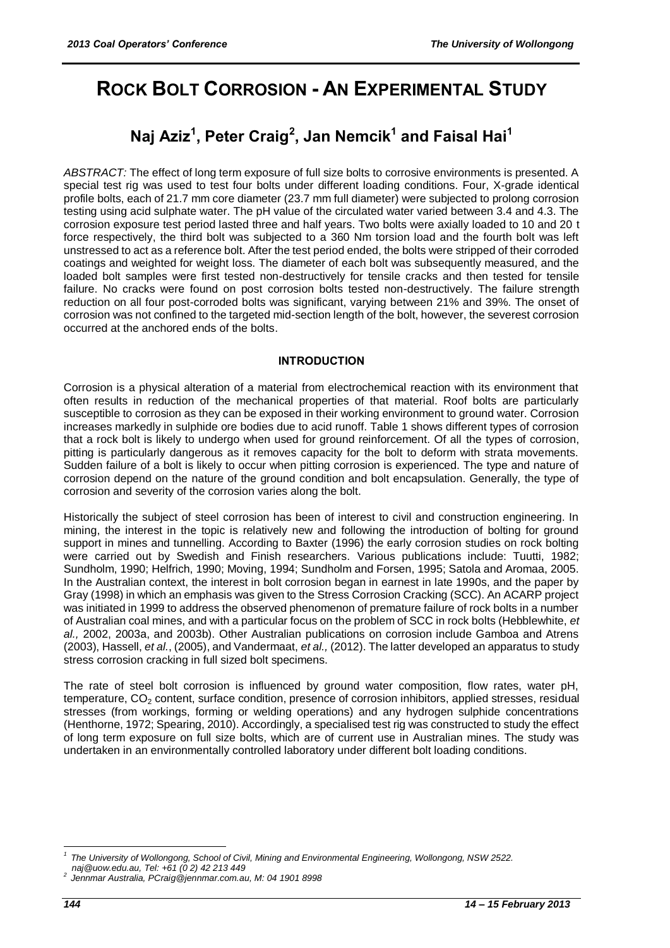# **ROCK BOLT CORROSION - AN EXPERIMENTAL STUDY**

## **Naj Aziz<sup>1</sup> , Peter Craig<sup>2</sup> , Jan Nemcik<sup>1</sup> and Faisal Hai<sup>1</sup>**

*ABSTRACT:* The effect of long term exposure of full size bolts to corrosive environments is presented. A special test rig was used to test four bolts under different loading conditions. Four, X-grade identical profile bolts, each of 21.7 mm core diameter (23.7 mm full diameter) were subjected to prolong corrosion testing using acid sulphate water. The pH value of the circulated water varied between 3.4 and 4.3. The corrosion exposure test period lasted three and half years. Two bolts were axially loaded to 10 and 20 t force respectively, the third bolt was subjected to a 360 Nm torsion load and the fourth bolt was left unstressed to act as a reference bolt. After the test period ended, the bolts were stripped of their corroded coatings and weighted for weight loss. The diameter of each bolt was subsequently measured, and the loaded bolt samples were first tested non-destructively for tensile cracks and then tested for tensile failure. No cracks were found on post corrosion bolts tested non-destructively. The failure strength reduction on all four post-corroded bolts was significant, varying between 21% and 39%. The onset of corrosion was not confined to the targeted mid-section length of the bolt, however, the severest corrosion occurred at the anchored ends of the bolts.

#### **INTRODUCTION**

Corrosion is a physical alteration of a material from electrochemical reaction with its environment that often results in reduction of the mechanical properties of that material. Roof bolts are particularly susceptible to corrosion as they can be exposed in their working environment to ground water. Corrosion increases markedly in sulphide ore bodies due to acid runoff. Table 1 shows different types of corrosion that a rock bolt is likely to undergo when used for ground reinforcement. Of all the types of corrosion, pitting is particularly dangerous as it removes capacity for the bolt to deform with strata movements. Sudden failure of a bolt is likely to occur when pitting corrosion is experienced. The type and nature of corrosion depend on the nature of the ground condition and bolt encapsulation. Generally, the type of corrosion and severity of the corrosion varies along the bolt.

Historically the subject of steel corrosion has been of interest to civil and construction engineering. In mining, the interest in the topic is relatively new and following the introduction of bolting for ground support in mines and tunnelling. According to Baxter (1996) the early corrosion studies on rock bolting were carried out by Swedish and Finish researchers. Various publications include: Tuutti, 1982; Sundholm, 1990; Helfrich, 1990; Moving, 1994; Sundholm and Forsen, 1995; Satola and Aromaa, 2005. In the Australian context, the interest in bolt corrosion began in earnest in late 1990s, and the paper by Gray (1998) in which an emphasis was given to the Stress Corrosion Cracking (SCC). An ACARP project was initiated in 1999 to address the observed phenomenon of premature failure of rock bolts in a number of Australian coal mines, and with a particular focus on the problem of SCC in rock bolts (Hebblewhite, *et al.,* 2002, 2003a, and 2003b). Other Australian publications on corrosion include Gamboa and Atrens (2003), Hassell, *et al.*, (2005), and Vandermaat, *et al.,* (2012). The latter developed an apparatus to study stress corrosion cracking in full sized bolt specimens.

The rate of steel bolt corrosion is influenced by ground water composition, flow rates, water pH, temperature, CO<sub>2</sub> content, surface condition, presence of corrosion inhibitors, applied stresses, residual stresses (from workings, forming or welding operations) and any hydrogen sulphide concentrations (Henthorne, 1972; Spearing, 2010). Accordingly, a specialised test rig was constructed to study the effect of long term exposure on full size bolts, which are of current use in Australian mines. The study was undertaken in an environmentally controlled laboratory under different bolt loading conditions.

1

*<sup>1</sup> The University of Wollongong, School of Civil, Mining and Environmental Engineering, Wollongong, NSW 2522.* 

*[naj@uow.edu.au,](mailto:naj@uow.edu.au) Tel: +61 (0 2) 42 213 449* 

*<sup>2</sup> Jennmar Australia, [PCraig@jennmar.com.au,](mailto:PCraig@jennmar.com.au) M: 04 1901 8998*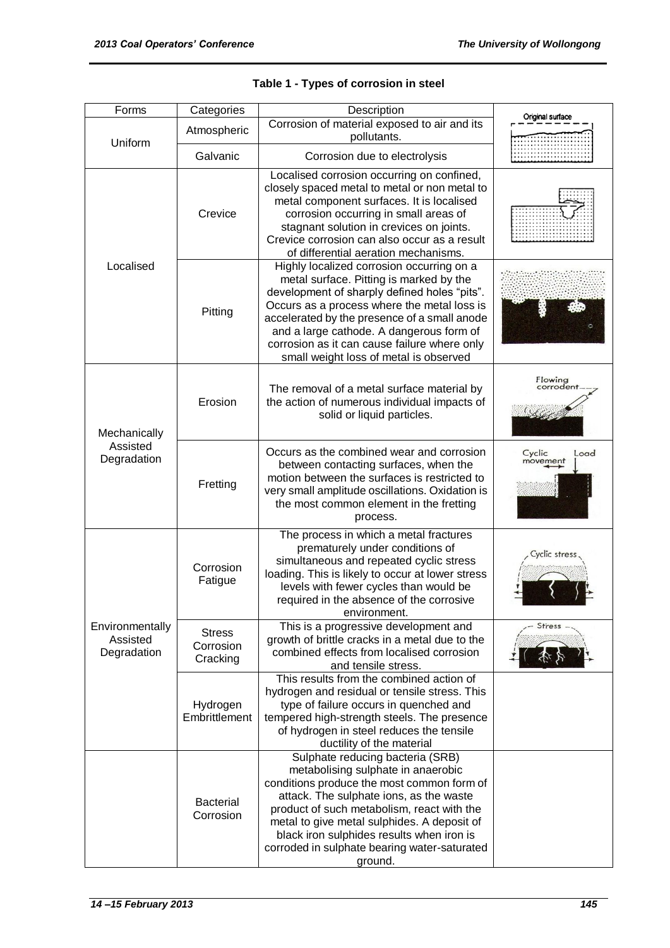| Forms                                      | Categories                             | Description                                                                                                                                                                                                                                                                                                                                                               | Original surface           |  |  |
|--------------------------------------------|----------------------------------------|---------------------------------------------------------------------------------------------------------------------------------------------------------------------------------------------------------------------------------------------------------------------------------------------------------------------------------------------------------------------------|----------------------------|--|--|
| Uniform                                    | Atmospheric                            | Corrosion of material exposed to air and its<br>pollutants.                                                                                                                                                                                                                                                                                                               |                            |  |  |
|                                            | Galvanic                               | Corrosion due to electrolysis                                                                                                                                                                                                                                                                                                                                             |                            |  |  |
|                                            | Crevice                                | Localised corrosion occurring on confined,<br>closely spaced metal to metal or non metal to<br>metal component surfaces. It is localised<br>corrosion occurring in small areas of<br>stagnant solution in crevices on joints.<br>Crevice corrosion can also occur as a result<br>of differential aeration mechanisms.                                                     |                            |  |  |
| Localised                                  | Pitting                                | Highly localized corrosion occurring on a<br>metal surface. Pitting is marked by the<br>development of sharply defined holes "pits".<br>Occurs as a process where the metal loss is<br>accelerated by the presence of a small anode<br>and a large cathode. A dangerous form of<br>corrosion as it can cause failure where only<br>small weight loss of metal is observed |                            |  |  |
| Mechanically                               | Erosion                                | The removal of a metal surface material by<br>the action of numerous individual impacts of<br>solid or liquid particles.                                                                                                                                                                                                                                                  | Flowing<br>:orroden        |  |  |
| Assisted<br>Degradation                    | Fretting                               | Occurs as the combined wear and corrosion<br>between contacting surfaces, when the<br>motion between the surfaces is restricted to<br>very small amplitude oscillations. Oxidation is<br>the most common element in the fretting<br>process.                                                                                                                              | Cyclic<br>Load<br>movement |  |  |
|                                            | Corrosion<br>Fatigue                   | The process in which a metal fractures<br>prematurely under conditions of<br>simultaneous and repeated cyclic stress<br>loading. This is likely to occur at lower stress<br>levels with fewer cycles than would be<br>required in the absence of the corrosive<br>environment.                                                                                            | Cyclic stress              |  |  |
| Environmentally<br>Assisted<br>Degradation | <b>Stress</b><br>Corrosion<br>Cracking | This is a progressive development and<br>growth of brittle cracks in a metal due to the<br>combined effects from localised corrosion<br>and tensile stress.                                                                                                                                                                                                               | <b>Stress</b>              |  |  |
|                                            | Hydrogen<br>Embrittlement              | This results from the combined action of<br>hydrogen and residual or tensile stress. This<br>type of failure occurs in quenched and<br>tempered high-strength steels. The presence<br>of hydrogen in steel reduces the tensile<br>ductility of the material                                                                                                               |                            |  |  |
|                                            | <b>Bacterial</b><br>Corrosion          | Sulphate reducing bacteria (SRB)<br>metabolising sulphate in anaerobic<br>conditions produce the most common form of<br>attack. The sulphate ions, as the waste<br>product of such metabolism, react with the<br>metal to give metal sulphides. A deposit of<br>black iron sulphides results when iron is<br>corroded in sulphate bearing water-saturated<br>ground.      |                            |  |  |

|  |  | Table 1 - Types of corrosion in steel |  |
|--|--|---------------------------------------|--|
|--|--|---------------------------------------|--|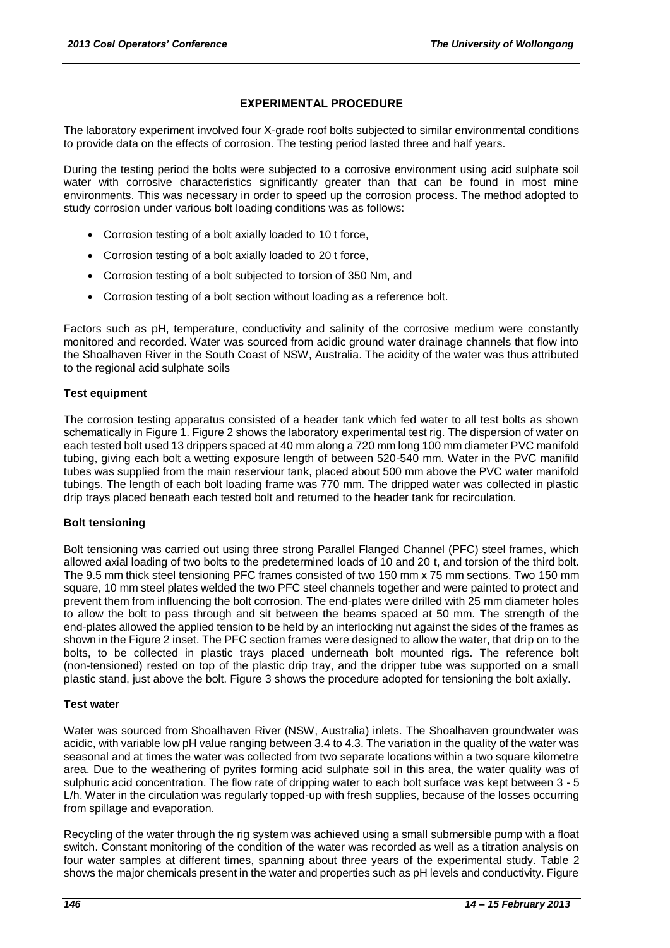#### **EXPERIMENTAL PROCEDURE**

The laboratory experiment involved four X-grade roof bolts subjected to similar environmental conditions to provide data on the effects of corrosion. The testing period lasted three and half years.

During the testing period the bolts were subjected to a corrosive environment using acid sulphate soil water with corrosive characteristics significantly greater than that can be found in most mine environments. This was necessary in order to speed up the corrosion process. The method adopted to study corrosion under various bolt loading conditions was as follows:

- Corrosion testing of a bolt axially loaded to 10 t force,
- Corrosion testing of a bolt axially loaded to 20 t force,
- Corrosion testing of a bolt subjected to torsion of 350 Nm, and
- Corrosion testing of a bolt section without loading as a reference bolt.

Factors such as pH, temperature, conductivity and salinity of the corrosive medium were constantly monitored and recorded. Water was sourced from acidic ground water drainage channels that flow into the Shoalhaven River in the South Coast of NSW, Australia. The acidity of the water was thus attributed to the regional acid sulphate soils

#### **Test equipment**

The corrosion testing apparatus consisted of a header tank which fed water to all test bolts as shown schematically in Figure 1. Figure 2 shows the laboratory experimental test rig. The dispersion of water on each tested bolt used 13 drippers spaced at 40 mm along a 720 mm long 100 mm diameter PVC manifold tubing, giving each bolt a wetting exposure length of between 520-540 mm. Water in the PVC manifild tubes was supplied from the main reserviour tank, placed about 500 mm above the PVC water manifold tubings. The length of each bolt loading frame was 770 mm. The dripped water was collected in plastic drip trays placed beneath each tested bolt and returned to the header tank for recirculation.

#### **Bolt tensioning**

Bolt tensioning was carried out using three strong Parallel Flanged Channel (PFC) steel frames, which allowed axial loading of two bolts to the predetermined loads of 10 and 20 t, and torsion of the third bolt. The 9.5 mm thick steel tensioning PFC frames consisted of two 150 mm x 75 mm sections. Two 150 mm square, 10 mm steel plates welded the two PFC steel channels together and were painted to protect and prevent them from influencing the bolt corrosion. The end-plates were drilled with 25 mm diameter holes to allow the bolt to pass through and sit between the beams spaced at 50 mm. The strength of the end-plates allowed the applied tension to be held by an interlocking nut against the sides of the frames as shown in the Figure 2 inset. The PFC section frames were designed to allow the water, that drip on to the bolts, to be collected in plastic trays placed underneath bolt mounted rigs. The reference bolt (non-tensioned) rested on top of the plastic drip tray, and the dripper tube was supported on a small plastic stand, just above the bolt. Figure 3 shows the procedure adopted for tensioning the bolt axially.

#### **Test water**

Water was sourced from Shoalhaven River (NSW, Australia) inlets. The Shoalhaven groundwater was acidic, with variable low pH value ranging between 3.4 to 4.3. The variation in the quality of the water was seasonal and at times the water was collected from two separate locations within a two square kilometre area. Due to the weathering of pyrites forming acid sulphate soil in this area, the water quality was of sulphuric acid concentration. The flow rate of dripping water to each bolt surface was kept between 3 - 5 L/h. Water in the circulation was regularly topped-up with fresh supplies, because of the losses occurring from spillage and evaporation.

Recycling of the water through the rig system was achieved using a small submersible pump with a float switch. Constant monitoring of the condition of the water was recorded as well as a titration analysis on four water samples at different times, spanning about three years of the experimental study. Table 2 shows the major chemicals present in the water and properties such as pH levels and conductivity. Figure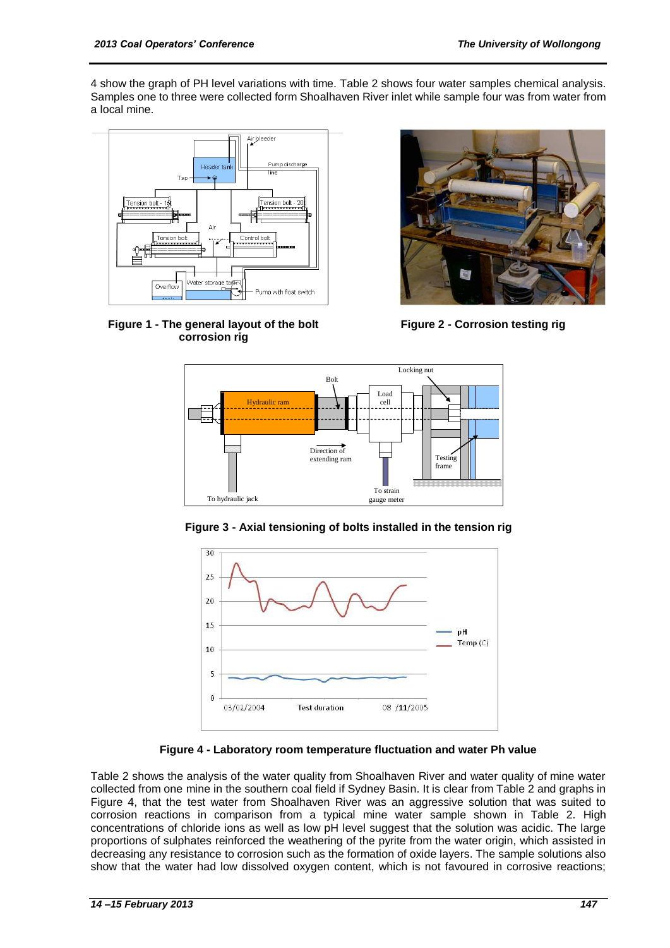4 show the graph of PH level variations with time. Table 2 shows four water samples chemical analysis. Samples one to three were collected form Shoalhaven River inlet while sample four was from water from a local mine.



**Figure 1 - The general layout of the bolt corrosion rig**



**Figure 2 - Corrosion testing rig**



**Figure 3 - Axial tensioning of bolts installed in the tension rig**



**Figure 4 - Laboratory room temperature fluctuation and water Ph value**

Table 2 shows the analysis of the water quality from Shoalhaven River and water quality of mine water collected from one mine in the southern coal field if Sydney Basin. It is clear from Table 2 and graphs in Figure 4, that the test water from Shoalhaven River was an aggressive solution that was suited to corrosion reactions in comparison from a typical mine water sample shown in Table 2. High concentrations of chloride ions as well as low pH level suggest that the solution was acidic. The large proportions of sulphates reinforced the weathering of the pyrite from the water origin, which assisted in decreasing any resistance to corrosion such as the formation of oxide layers. The sample solutions also show that the water had low dissolved oxygen content, which is not favoured in corrosive reactions;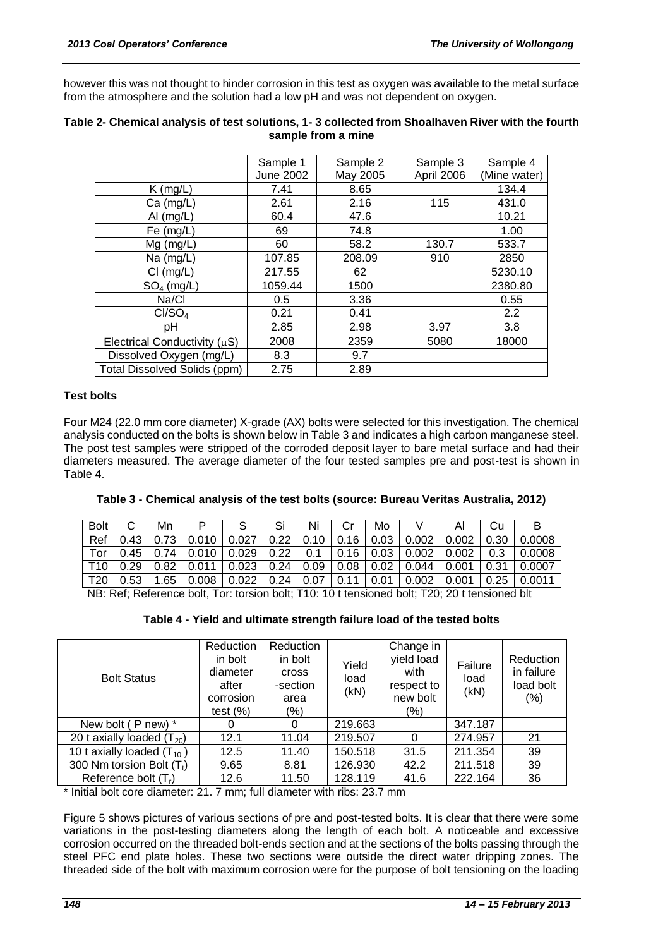however this was not thought to hinder corrosion in this test as oxygen was available to the metal surface from the atmosphere and the solution had a low pH and was not dependent on oxygen.

|                                     | Sample 1<br>June 2002 | Sample 2<br>May 2005 | Sample 3<br>April 2006 | Sample 4<br>(Mine water) |
|-------------------------------------|-----------------------|----------------------|------------------------|--------------------------|
| $K$ (mg/L)                          | 7.41                  | 8.65                 |                        | 134.4                    |
| $Ca$ (mg/L)                         | 2.61                  | 2.16                 | 115                    | 431.0                    |
| Al $(mg/L)$                         | 60.4                  | 47.6                 |                        | 10.21                    |
| Fe $(mg/L)$                         | 69                    | 74.8                 |                        | 1.00                     |
| $Mg$ (mg/L)                         | 60                    | 58.2                 | 130.7                  | 533.7                    |
| Na $(mg/L)$                         | 107.85                | 208.09               | 910                    | 2850                     |
| $Cl$ (mg/L)                         | 217.55                | 62                   |                        | 5230.10                  |
| $SO4$ (mg/L)                        | 1059.44               | 1500                 |                        | 2380.80                  |
| Na/Cl                               | 0.5                   | 3.36                 |                        | 0.55                     |
| Cl/SO <sub>4</sub>                  | 0.21                  | 0.41                 |                        | 2.2                      |
| pH                                  | 2.85                  | 2.98                 | 3.97                   | 3.8                      |
| Electrical Conductivity $(\mu S)$   | 2008                  | 2359                 | 5080                   | 18000                    |
| Dissolved Oxygen (mg/L)             | 8.3                   | 9.7                  |                        |                          |
| <b>Total Dissolved Solids (ppm)</b> | 2.75                  | 2.89                 |                        |                          |

#### **Table 2- Chemical analysis of test solutions, 1- 3 collected from Shoalhaven River with the fourth sample from a mine**

#### **Test bolts**

Four M24 (22.0 mm core diameter) X-grade (AX) bolts were selected for this investigation. The chemical analysis conducted on the bolts is shown below in Table 3 and indicates a high carbon manganese steel. The post test samples were stripped of the corroded deposit layer to bare metal surface and had their diameters measured. The average diameter of the four tested samples pre and post-test is shown in Table 4.

| Table 3 - Chemical analysis of the test bolts (source: Bureau Veritas Australia, 2012) |  |
|----------------------------------------------------------------------------------------|--|
|----------------------------------------------------------------------------------------|--|

| <b>Bol</b>                                                                                    |      | Mn   |       |       | Si   | Ni   |           | Mo   |       | ΑΙ    | Cu   | в      |
|-----------------------------------------------------------------------------------------------|------|------|-------|-------|------|------|-----------|------|-------|-------|------|--------|
| Ref                                                                                           | .43  | 72   | 0.010 | 0.027 | 0.22 | 0.10 | .16<br>0. | 0.03 | 0.002 | 0.002 | 0.30 | 0.0008 |
| Tor                                                                                           | 0.45 | 74   | 0.010 | 0.029 | 0.22 | 0.1  | .16       | 0.03 | 0.002 | 0.002 | റ ദ  | 0.0008 |
|                                                                                               | ე.29 | 0.82 | 0.011 | 0.023 | 0.24 | 0.09 | 0.08      | 0.02 | 0.044 | 0.001 | ∩ ?1 | 0.0007 |
| T <sub>20</sub>                                                                               | 0.53 | .65  | 0.008 | 0.022 | 0.24 | 0.07 | 0.11      | 0.01 | 0.002 | 0.001 | 0.25 | 0.0011 |
| ND: Def: Deference helt. Ter: teroien helt: T10: 10 t tenoiened helt: T20: 20 t tenoiened hlt |      |      |       |       |      |      |           |      |       |       |      |        |

NB: Ref; Reference bolt, Tor: torsion bolt; T10: 10 t tensioned bolt; T20; 20 t tensioned blt

**Table 4 - Yield and ultimate strength failure load of the tested bolts**

| <b>Bolt Status</b>                                                                | Reduction<br>in bolt<br>diameter<br>after<br>corrosion<br>test $(\%)$ | Reduction<br>in bolt<br><b>cross</b><br>-section<br>area<br>$(\% )$ | Yield<br>load<br>(kN) | Change in<br>yield load<br>with<br>respect to<br>new bolt<br>$(\% )$ | Failure<br>load<br>(kN) | Reduction<br>in failure<br>load bolt<br>$(\% )$ |  |  |
|-----------------------------------------------------------------------------------|-----------------------------------------------------------------------|---------------------------------------------------------------------|-----------------------|----------------------------------------------------------------------|-------------------------|-------------------------------------------------|--|--|
| New bolt (P new) *                                                                |                                                                       | 0                                                                   | 219.663               |                                                                      | 347.187                 |                                                 |  |  |
| 20 t axially loaded $(T_{20})$                                                    | 12.1                                                                  | 11.04                                                               | 219.507               | 0                                                                    | 274.957                 | 21                                              |  |  |
| 10 t axially loaded $(T_{10})$                                                    | 12.5                                                                  | 11.40                                                               | 150.518               | 31.5                                                                 | 211.354                 | 39                                              |  |  |
| 300 Nm torsion Bolt $(Tt)$                                                        | 9.65                                                                  | 8.81                                                                | 126.930               | 42.2                                                                 | 211.518                 | 39                                              |  |  |
| Reference bolt $(Tr)$                                                             | 12.6                                                                  | 11.50                                                               | 128.119               | 41.6                                                                 | 222.164                 | 36                                              |  |  |
| * Initial balt agus alignostas: 04 - 7 mons full alignostas unith sibar 00 7 mons |                                                                       |                                                                     |                       |                                                                      |                         |                                                 |  |  |

Initial bolt core diameter: 21. 7 mm; full diameter with ribs: 23.7 mm

Figure 5 shows pictures of various sections of pre and post-tested bolts. It is clear that there were some variations in the post-testing diameters along the length of each bolt. A noticeable and excessive corrosion occurred on the threaded bolt-ends section and at the sections of the bolts passing through the steel PFC end plate holes. These two sections were outside the direct water dripping zones. The threaded side of the bolt with maximum corrosion were for the purpose of bolt tensioning on the loading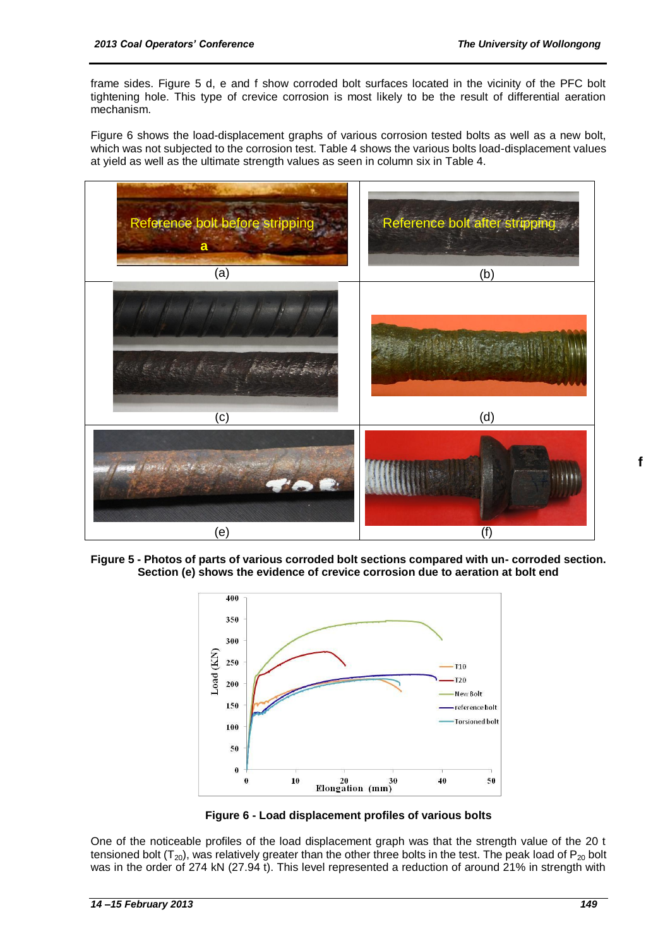frame sides. Figure 5 d, e and f show corroded bolt surfaces located in the vicinity of the PFC bolt tightening hole. This type of crevice corrosion is most likely to be the result of differential aeration mechanism.

Figure 6 shows the load-displacement graphs of various corrosion tested bolts as well as a new bolt, which was not subjected to the corrosion test. Table 4 shows the various bolts load-displacement values at yield as well as the ultimate strength values as seen in column six in Table 4.



**Figure 5 - Photos of parts of various corroded bolt sections compared with un- corroded section. Section (e) shows the evidence of crevice corrosion due to aeration at bolt end**



**Figure 6 - Load displacement profiles of various bolts**

One of the noticeable profiles of the load displacement graph was that the strength value of the 20 t tensioned bolt  $(T_{20})$ , was relatively greater than the other three bolts in the test. The peak load of  $P_{20}$  bolt was in the order of 274 kN (27.94 t). This level represented a reduction of around 21% in strength with

**f**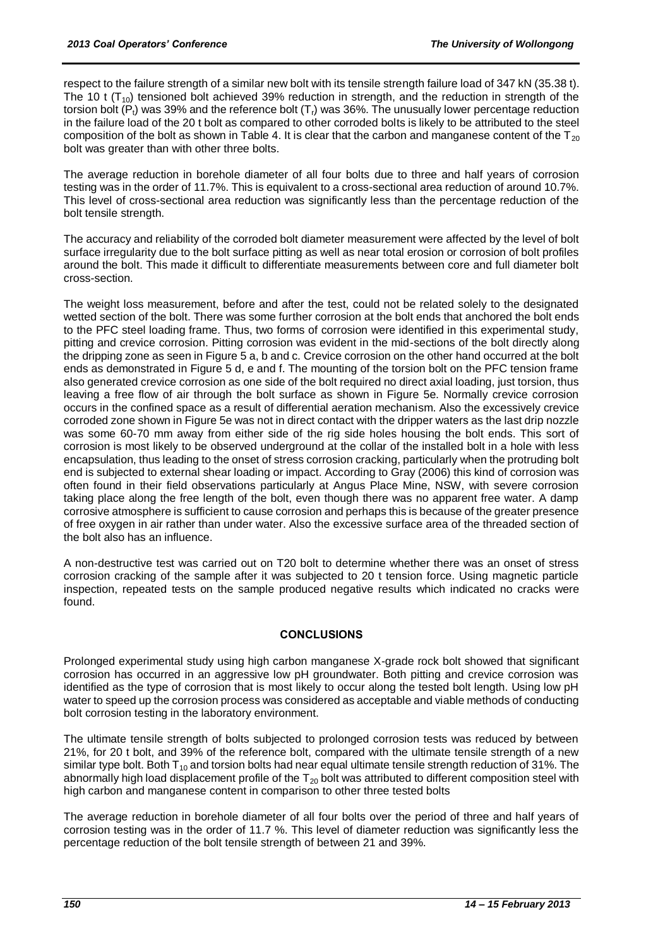respect to the failure strength of a similar new bolt with its tensile strength failure load of 347 kN (35.38 t). The 10 t  $(T_{10})$  tensioned bolt achieved 39% reduction in strength, and the reduction in strength of the torsion bolt  $(P_t)$  was 39% and the reference bolt  $(T_t)$  was 36%. The unusually lower percentage reduction in the failure load of the 20 t bolt as compared to other corroded bolts is likely to be attributed to the steel composition of the bolt as shown in Table 4. It is clear that the carbon and manganese content of the  $T_{20}$ bolt was greater than with other three bolts.

The average reduction in borehole diameter of all four bolts due to three and half years of corrosion testing was in the order of 11.7%. This is equivalent to a cross-sectional area reduction of around 10.7%. This level of cross-sectional area reduction was significantly less than the percentage reduction of the bolt tensile strength.

The accuracy and reliability of the corroded bolt diameter measurement were affected by the level of bolt surface irregularity due to the bolt surface pitting as well as near total erosion or corrosion of bolt profiles around the bolt. This made it difficult to differentiate measurements between core and full diameter bolt cross-section.

The weight loss measurement, before and after the test, could not be related solely to the designated wetted section of the bolt. There was some further corrosion at the bolt ends that anchored the bolt ends to the PFC steel loading frame. Thus, two forms of corrosion were identified in this experimental study, pitting and crevice corrosion. Pitting corrosion was evident in the mid-sections of the bolt directly along the dripping zone as seen in Figure 5 a, b and c. Crevice corrosion on the other hand occurred at the bolt ends as demonstrated in Figure 5 d, e and f. The mounting of the torsion bolt on the PFC tension frame also generated crevice corrosion as one side of the bolt required no direct axial loading, just torsion, thus leaving a free flow of air through the bolt surface as shown in Figure 5e. Normally crevice corrosion occurs in the confined space as a result of differential aeration mechanism. Also the excessively crevice corroded zone shown in Figure 5e was not in direct contact with the dripper waters as the last drip nozzle was some 60-70 mm away from either side of the rig side holes housing the bolt ends. This sort of corrosion is most likely to be observed underground at the collar of the installed bolt in a hole with less encapsulation, thus leading to the onset of stress corrosion cracking, particularly when the protruding bolt end is subjected to external shear loading or impact. According to Gray (2006) this kind of corrosion was often found in their field observations particularly at Angus Place Mine, NSW, with severe corrosion taking place along the free length of the bolt, even though there was no apparent free water. A damp corrosive atmosphere is sufficient to cause corrosion and perhaps this is because of the greater presence of free oxygen in air rather than under water. Also the excessive surface area of the threaded section of the bolt also has an influence.

A non-destructive test was carried out on T20 bolt to determine whether there was an onset of stress corrosion cracking of the sample after it was subjected to 20 t tension force. Using magnetic particle inspection, repeated tests on the sample produced negative results which indicated no cracks were found.

#### **CONCLUSIONS**

Prolonged experimental study using high carbon manganese X-grade rock bolt showed that significant corrosion has occurred in an aggressive low pH groundwater. Both pitting and crevice corrosion was identified as the type of corrosion that is most likely to occur along the tested bolt length. Using low pH water to speed up the corrosion process was considered as acceptable and viable methods of conducting bolt corrosion testing in the laboratory environment.

The ultimate tensile strength of bolts subjected to prolonged corrosion tests was reduced by between 21%, for 20 t bolt, and 39% of the reference bolt, compared with the ultimate tensile strength of a new similar type bolt. Both  $T_{10}$  and torsion bolts had near equal ultimate tensile strength reduction of 31%. The abnormally high load displacement profile of the  $T_{20}$  bolt was attributed to different composition steel with high carbon and manganese content in comparison to other three tested bolts

The average reduction in borehole diameter of all four bolts over the period of three and half years of corrosion testing was in the order of 11.7 %. This level of diameter reduction was significantly less the percentage reduction of the bolt tensile strength of between 21 and 39%.